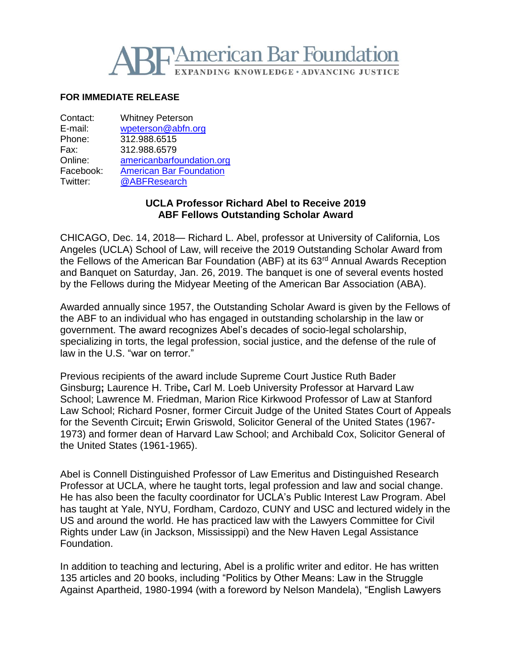

# **FOR IMMEDIATE RELEASE**

| Contact:  | <b>Whitney Peterson</b>        |
|-----------|--------------------------------|
| E-mail:   | wpeterson@abfn.org             |
| Phone:    | 312.988.6515                   |
| Fax:      | 312.988.6579                   |
| Online:   | americanbarfoundation.org      |
| Facebook: | <b>American Bar Foundation</b> |
| Twitter:  | @ABFResearch                   |
|           |                                |

## **UCLA Professor Richard Abel to Receive 2019 ABF Fellows Outstanding Scholar Award**

CHICAGO, Dec. 14, 2018— Richard L. Abel, professor at University of California, Los Angeles (UCLA) School of Law, will receive the 2019 Outstanding Scholar Award from the Fellows of the American Bar Foundation (ABF) at its 63<sup>rd</sup> Annual Awards Reception and Banquet on Saturday, Jan. 26, 2019. The banquet is one of several events hosted by the Fellows during the Midyear Meeting of the American Bar Association (ABA).

Awarded annually since 1957, the Outstanding Scholar Award is given by the Fellows of the ABF to an individual who has engaged in outstanding scholarship in the law or government. The award recognizes Abel's decades of socio-legal scholarship, specializing in torts, the legal profession, social justice, and the defense of the rule of law in the U.S. "war on terror."

Previous recipients of the award include Supreme Court Justice Ruth Bader Ginsburg**;** Laurence H. Tribe**,** Carl M. Loeb University Professor at Harvard Law School; Lawrence M. Friedman, Marion Rice Kirkwood Professor of Law at Stanford Law School; Richard Posner, former Circuit Judge of the United States Court of Appeals for the Seventh Circuit**;** Erwin Griswold, Solicitor General of the United States (1967- 1973) and former dean of Harvard Law School; and Archibald Cox, Solicitor General of the United States (1961-1965).

Abel is Connell Distinguished Professor of Law Emeritus and Distinguished Research Professor at UCLA, where he taught torts, legal profession and law and social change. He has also been the faculty coordinator for UCLA's Public Interest Law Program. Abel has taught at Yale, NYU, Fordham, Cardozo, CUNY and USC and lectured widely in the US and around the world. He has practiced law with the Lawyers Committee for Civil Rights under Law (in Jackson, Mississippi) and the New Haven Legal Assistance Foundation.

In addition to teaching and lecturing, Abel is a prolific writer and editor. He has written 135 articles and 20 books, including "Politics by Other Means: Law in the Struggle Against Apartheid, 1980-1994 (with a foreword by Nelson Mandela), "English Lawyers